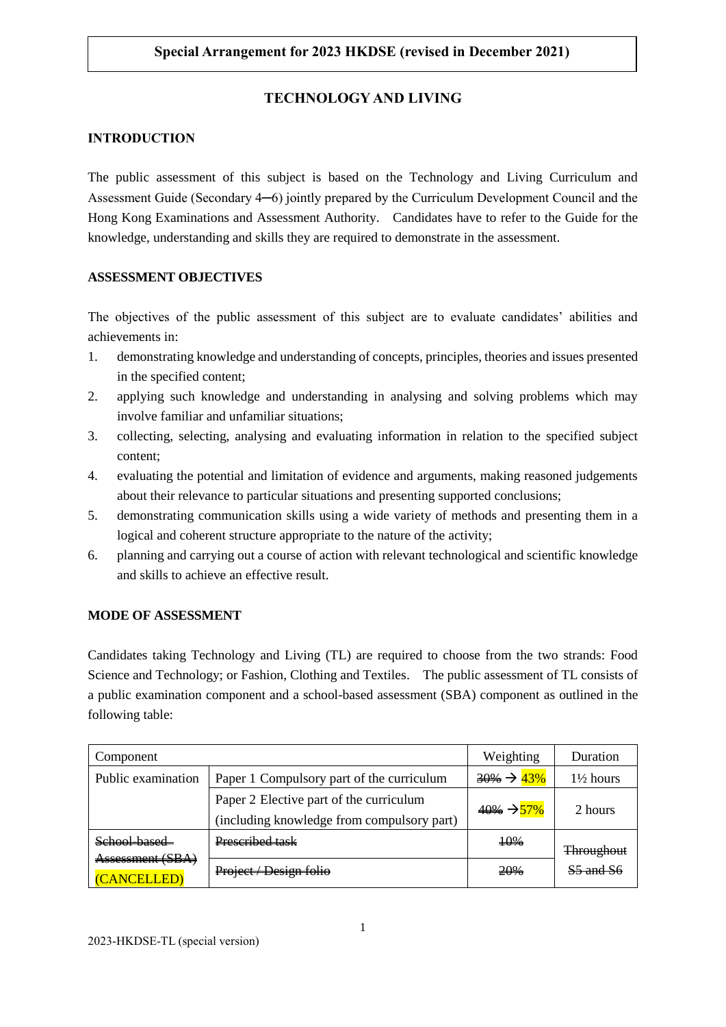# **TECHNOLOGY AND LIVING**

### **INTRODUCTION**

The public assessment of this subject is based on the Technology and Living Curriculum and Assessment Guide (Secondary 4─6) jointly prepared by the Curriculum Development Council and the Hong Kong Examinations and Assessment Authority. Candidates have to refer to the Guide for the knowledge, understanding and skills they are required to demonstrate in the assessment.

### **ASSESSMENT OBJECTIVES**

The objectives of the public assessment of this subject are to evaluate candidates' abilities and achievements in:

- 1. demonstrating knowledge and understanding of concepts, principles, theories and issues presented in the specified content;
- 2. applying such knowledge and understanding in analysing and solving problems which may involve familiar and unfamiliar situations;
- 3. collecting, selecting, analysing and evaluating information in relation to the specified subject content;
- 4. evaluating the potential and limitation of evidence and arguments, making reasoned judgements about their relevance to particular situations and presenting supported conclusions;
- 5. demonstrating communication skills using a wide variety of methods and presenting them in a logical and coherent structure appropriate to the nature of the activity;
- 6. planning and carrying out a course of action with relevant technological and scientific knowledge and skills to achieve an effective result.

## **MODE OF ASSESSMENT**

Candidates taking Technology and Living (TL) are required to choose from the two strands: Food Science and Technology; or Fashion, Clothing and Textiles. The public assessment of TL consists of a public examination component and a school-based assessment (SBA) component as outlined in the following table:

| Component                       |                                                                                       | Weighting                                             | Duration             |  |
|---------------------------------|---------------------------------------------------------------------------------------|-------------------------------------------------------|----------------------|--|
| Public examination              | Paper 1 Compulsory part of the curriculum                                             | $\frac{30\%}{20\%}$ $\rightarrow$ $\frac{43\%}{20\%}$ | $1\frac{1}{2}$ hours |  |
|                                 | Paper 2 Elective part of the curriculum<br>(including knowledge from compulsory part) | $40\% \rightarrow 57\%$                               | 2 hours              |  |
| <del>School-based</del>         | Prescribed task                                                                       | <del>10%</del>                                        | <b>Throughout</b>    |  |
| Assessment (SBA)<br>(CANCELLED) | Project / Design folio                                                                | 20%                                                   | <b>S5 and S6</b>     |  |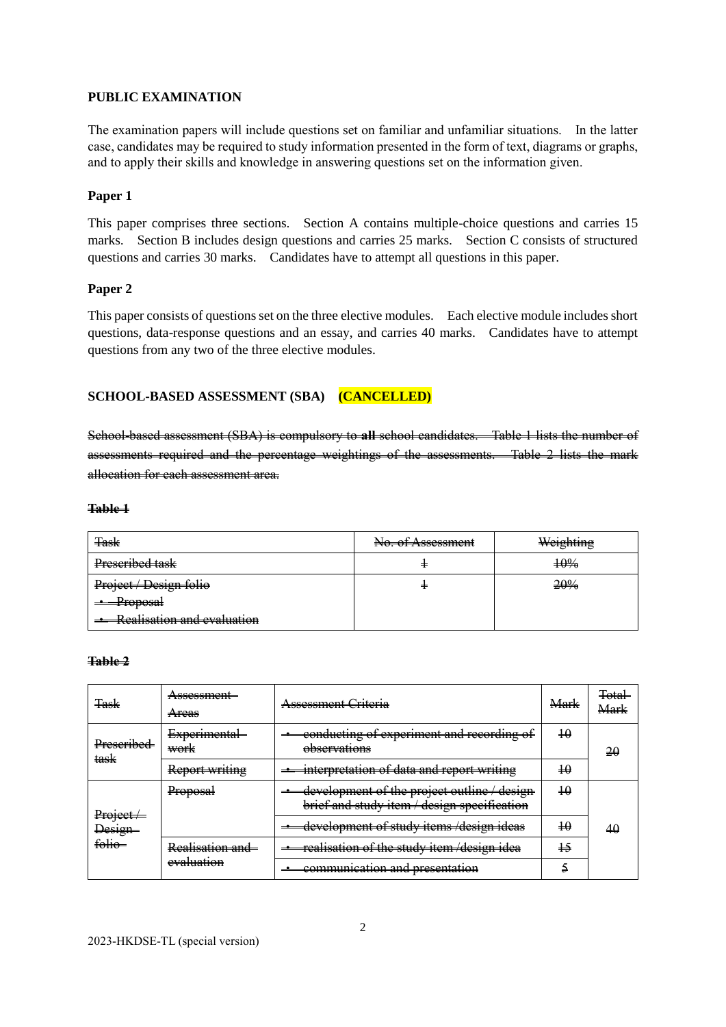### **PUBLIC EXAMINATION**

The examination papers will include questions set on familiar and unfamiliar situations. In the latter case, candidates may be required to study information presented in the form of text, diagrams or graphs, and to apply their skills and knowledge in answering questions set on the information given.

### **Paper 1**

This paper comprises three sections. Section A contains multiple-choice questions and carries 15 marks. Section B includes design questions and carries 25 marks. Section C consists of structured questions and carries 30 marks. Candidates have to attempt all questions in this paper.

### **Paper 2**

This paper consists of questions set on the three elective modules. Each elective module includes short questions, data-response questions and an essay, and carries 40 marks. Candidates have to attempt questions from any two of the three elective modules.

## **SCHOOL-BASED ASSESSMENT (SBA) (CANCELLED)**

School-based assessment (SBA) is compulsory to **all** school candidates. Table 1 lists the number of assessments required and the percentage weightings of the assessments. Table 2 lists the mark allocation for each assessment area.

#### **Table 1**

| <del>Task</del>                       | <del>No. of Assessment</del> | <del>Weighting</del> |
|---------------------------------------|------------------------------|----------------------|
| <del>Preseribed task</del>            |                              | 10%                  |
| Project / Design folio                | ∓                            | <del>20%</del>       |
| <del>Proposal</del>                   |                              |                      |
| <del>(calisation and evaluation</del> |                              |                      |

#### **Table 2**

| <del>l`ask</del>                                      | <del>Assessment -</del><br>Areas   | Assessment Criteria                                                                         | <b>Mark</b>     | <del>Total</del><br>Marl |  |
|-------------------------------------------------------|------------------------------------|---------------------------------------------------------------------------------------------|-----------------|--------------------------|--|
| Preseribed<br>task                                    | <b>Experimental</b><br><b>work</b> | conducting of experiment and recording of<br><del>observations</del>                        | $\overline{10}$ |                          |  |
|                                                       | <b>Keport writing</b>              | interpretation of data and report writing                                                   | $\overline{10}$ |                          |  |
| <del>Project</del> ≁<br>Design-<br><del>folio -</del> | <del>Proposal</del>                | development of the project outline / design-<br>brief and study item / design specification | $\overline{10}$ |                          |  |
|                                                       |                                    | development of study items / design ideas                                                   | $\overline{10}$ | 40                       |  |
|                                                       | Realisation and<br>evaluation      | realisation of the study item/design idea                                                   | $\ddagger$      |                          |  |
|                                                       |                                    | communication and presentation                                                              |                 |                          |  |